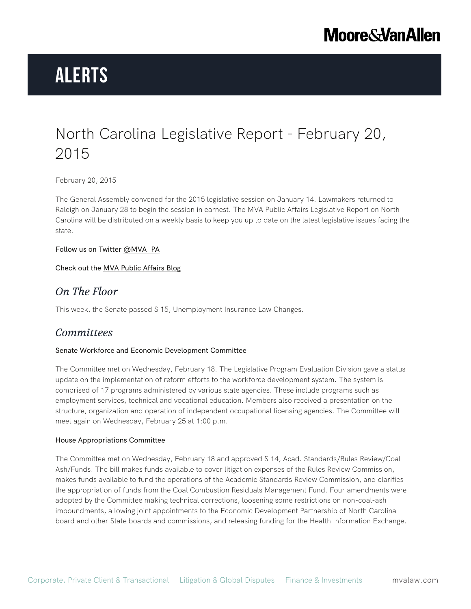# **Alerts**

### North Carolina Legislative Report - February 20, 2015

February 20, 2015

The General Assembly convened for the 2015 legislative session on January 14. Lawmakers returned to Raleigh on January 28 to begin the session in earnest. The MVA Public Affairs Legislative Report on North Carolina will be distributed on a weekly basis to keep you up to date on the latest legislative issues facing the state.

Follow us on Twitter @MVA\_PA

Check out the MVA Public Affairs Blog

### *On The Floor*

This week, the Senate passed S 15, Unemployment Insurance Law Changes.

### *Committees*

#### Senate Workforce and Economic Development Committee

The Committee met on Wednesday, February 18. The Legislative Program Evaluation Division gave a status update on the implementation of reform efforts to the workforce development system. The system is comprised of 17 programs administered by various state agencies. These include programs such as employment services, technical and vocational education. Members also received a presentation on the structure, organization and operation of independent occupational licensing agencies. The Committee will meet again on Wednesday, February 25 at 1:00 p.m.

#### House Appropriations Committee

The Committee met on Wednesday, February 18 and approved S 14, Acad. Standards/Rules Review/Coal Ash/Funds. The bill makes funds available to cover litigation expenses of the Rules Review Commission, makes funds available to fund the operations of the Academic Standards Review Commission, and clarifies the appropriation of funds from the Coal Combustion Residuals Management Fund. Four amendments were adopted by the Committee making technical corrections, loosening some restrictions on non-coal-ash impoundments, allowing joint appointments to the Economic Development Partnership of North Carolina board and other State boards and commissions, and releasing funding for the Health Information Exchange.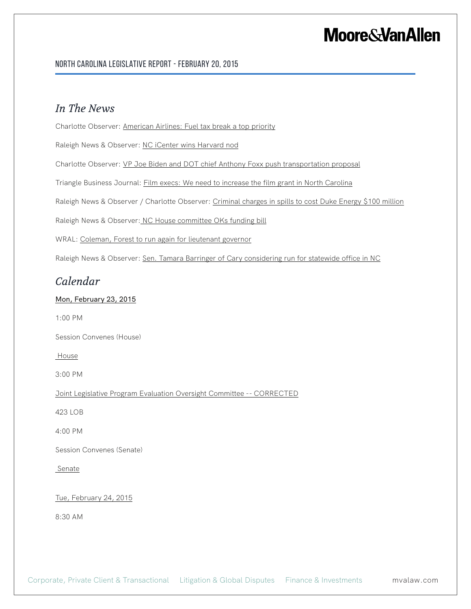#### North Carolina Legislative Report - February 20, 2015

### *In The News*

Charlotte Observer: American Airlines: Fuel tax break a top priority

Raleigh News & Observer: NC iCenter wins Harvard nod

Charlotte Observer: VP Joe Biden and DOT chief Anthony Foxx push transportation proposal

Triangle Business Journal: Film execs: We need to increase the film grant in North Carolina

Raleigh News & Observer / Charlotte Observer: Criminal charges in spills to cost Duke Energy \$100 million

Raleigh News & Observer: NC House committee OKs funding bill

WRAL: Coleman, Forest to run again for lieutenant governor

Raleigh News & Observer: Sen. Tamara Barringer of Cary considering run for statewide office in NC

### *Calendar*

#### Mon, February 23, 2015

1:00 PM

Session Convenes (House)

**House** 

3:00 PM

Joint Legislative Program Evaluation Oversight Committee -- CORRECTED

423 LOB

4:00 PM

Session Convenes (Senate)

**Senate** 

Tue, February 24, 2015

8:30 AM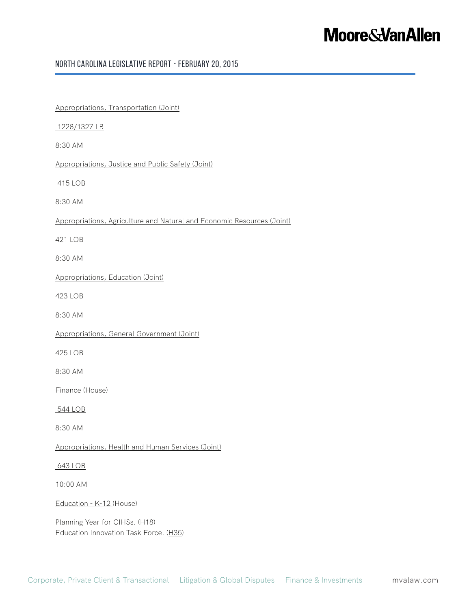#### North Carolina Legislative Report - February 20, 2015

Appropriations, Transportation (Joint)

1228/1327 LB

8:30 AM

Appropriations, Justice and Public Safety (Joint)

415 LOB

8:30 AM

Appropriations, Agriculture and Natural and Economic Resources (Joint)

421 LOB

8:30 AM

Appropriations, Education (Joint)

423 LOB

8:30 AM

Appropriations, General Government (Joint)

425 LOB

8:30 AM

Finance (House)

544 LOB

8:30 AM

Appropriations, Health and Human Services (Joint)

#### 643 LOB

10:00 AM

Education - K-12 (House)

Planning Year for CIHSs. (H18) Education Innovation Task Force. (H35)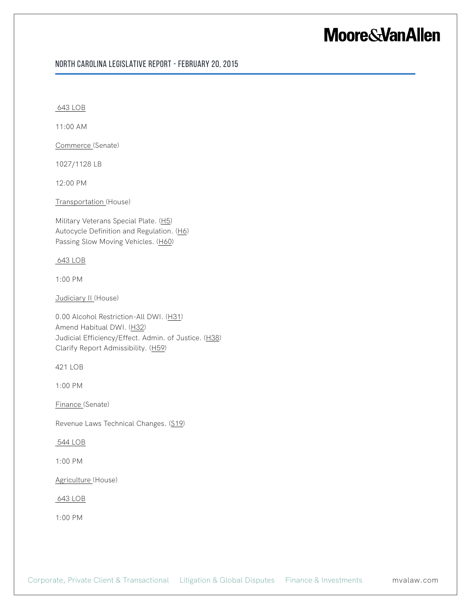#### North Carolina Legislative Report - February 20, 2015

643 LOB

11:00 AM

Commerce (Senate)

1027/1128 LB

12:00 PM

Transportation (House)

Military Veterans Special Plate. (H5) Autocycle Definition and Regulation. (H6) Passing Slow Moving Vehicles. (H60)

643 LOB

1:00 PM

Judiciary II (House)

0.00 Alcohol Restriction-All DWI. (H31) Amend Habitual DWI. (H32) Judicial Efficiency/Effect. Admin. of Justice. (H38) Clarify Report Admissibility. (H59)

421 LOB

1:00 PM

Finance (Senate)

Revenue Laws Technical Changes. (S19)

544 LOB

1:00 PM

Agriculture (House)

643 LOB

1:00 PM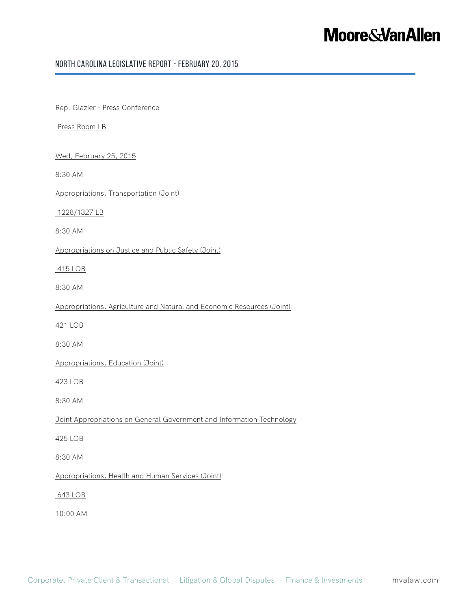#### North Carolina Legislative Report - February 20, 2015

Rep. Glazier - Press Conference

Press Room LB

Wed, February 25, 2015

8:30 AM

Appropriations, Transportation (Joint)

1228/1327 LB

8:30 AM

Appropriations on Justice and Public Safety (Joint)

415 LOB

8:30 AM

Appropriations, Agriculture and Natural and Economic Resources (Joint)

421 LOB

8:30 AM

Appropriations, Education (Joint)

423 LOB

8:30 AM

Joint Appropriations on General Government and Information Technology

425 LOB

8:30 AM

Appropriations, Health and Human Services (Joint)

643 LOB

10:00 AM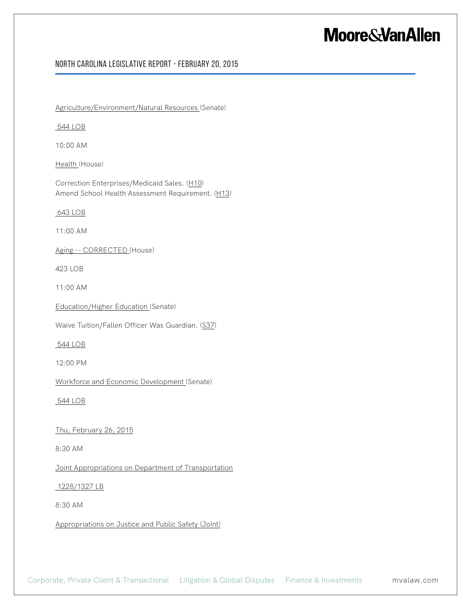#### North Carolina Legislative Report - February 20, 2015

Agriculture/Environment/Natural Resources (Senate)

544 LOB

10:00 AM

Health (House)

Correction Enterprises/Medicaid Sales. (H10) Amend School Health Assessment Requirement. (H13)

643 LOB

11:00 AM

Aging -- CORRECTED (House)

423 LOB

11:00 AM

Education/Higher Education (Senate)

Waive Tuition/Fallen Officer Was Guardian. (S37)

544 LOB

12:00 PM

Workforce and Economic Development (Senate)

544 LOB

Thu, February 26, 2015

8:30 AM

Joint Appropriations on Department of Transportation

1228/1327 LB

8:30 AM

Appropriations on Justice and Public Safety (Joint)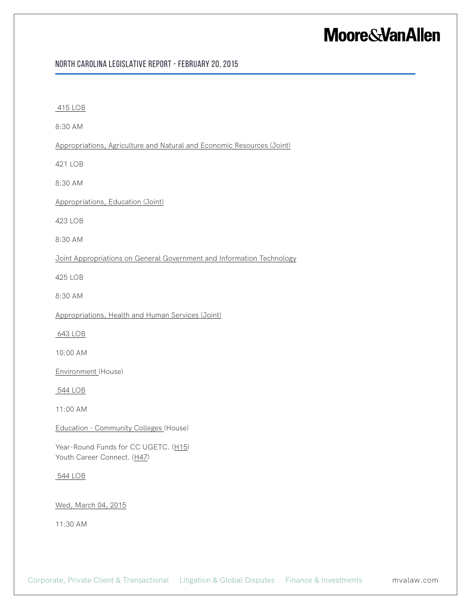#### North Carolina Legislative Report - February 20, 2015

| 415 LOB                                                                |
|------------------------------------------------------------------------|
| 8:30 AM                                                                |
| Appropriations, Agriculture and Natural and Economic Resources (Joint) |
| 421 LOB                                                                |
| 8:30 AM                                                                |
| <b>Appropriations, Education (Joint)</b>                               |
| 423 LOB                                                                |
| 8:30 AM                                                                |
| Joint Appropriations on General Government and Information Technology  |
| 425 LOB                                                                |
| 8:30 AM                                                                |
| Appropriations, Health and Human Services (Joint)                      |
| 643 LOB                                                                |
| 10:00 AM                                                               |
| Environment (House)                                                    |
| 544 LOB                                                                |
| 11:00 AM                                                               |
| Education - Community Colleges (House)                                 |
| Year-Round Funds for CC UGETC. (H15)<br>Youth Career Connect. (H47)    |
| 544 LOB                                                                |
| Wed, March 04, 2015                                                    |
| 11:30 AM                                                               |